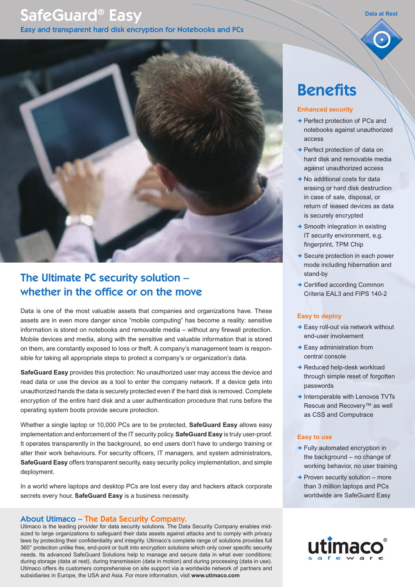# SafeGuard® Easy

Easy and transparent hard disk encryption for Notebooks and PCs



## The Ultimate PC security solution – whether in the office or on the move

Data is one of the most valuable assets that companies and organizations have. These assets are in even more danger since "mobile computing" has become a reality: sensitive information is stored on notebooks and removable media – without any firewall protection. Mobile devices and media, along with the sensitive and valuable information that is stored on them, are constantly exposed to loss or theft. A company's management team is responsible for taking all appropriate steps to protect a company's or organization's data.

**SafeGuard Easy** provides this protection: No unauthorized user may access the device and read data or use the device as a tool to enter the company network. If a device gets into unauthorized hands the data is securely protected even if the hard disk is removed. Complete encryption of the entire hard disk and a user authentication procedure that runs before the operating system boots provide secure protection.

Whether a single laptop or 10,000 PCs are to be protected, **SafeGuard Easy** allows easy implementation and enforcement of the IT security policy. **SafeGuard Easy** is truly user-proof. It operates transparently in the background, so end users don't have to undergo training or alter their work behaviours. For security officers, IT managers, and system administrators, **SafeGuard Easy** offers transparent security, easy security policy implementation, and simple deployment.

In a world where laptops and desktop PCs are lost every day and hackers attack corporate secrets every hour, **SafeGuard Easy** is a business necessity.

## About Utimaco – The Data Security Company.

Utimaco is the leading provider for data security solutions. The Data Security Company enables midsized to large organizations to safeguard their data assets against attacks and to comply with privacy laws by protecting their confidentiality and integrity. Utimaco's complete range of solutions provides full 360° protection unlike free, end-point or built into encryption solutions which only cover specific security needs. Its advanced SafeGuard Solutions help to manage and secure data in what ever conditions: during storage (data at rest), during transmission (data in motion) and during processing (data in use). Utimaco offers its customers comprehensive on site support via a worldwide network of partners and subsidiaries in Europe, the USA and Asia. For more information, visit **www.utimaco.com**

## **Benefits**

#### **Enhanced security**

→ Perfect protection of PCs and notebooks against unauthorized access

**Data at Rest**

- → Perfect protection of data on hard disk and removable media against unauthorized access
- $\rightarrow$  No additional costs for data erasing or hard disk destruction in case of sale, disposal, or return of leased devices as data is securely encrypted
- $\rightarrow$  Smooth integration in existing IT security environment, e.g. fingerprint, TPM Chip
- $\rightarrow$  Secure protection in each power mode including hibernation and stand-by
- → Certified according Common Criteria EAL3 and FIPS 140-2

#### **Easy to deploy**

- $\rightarrow$  Easy roll-out via network without end-user involvement
- $\rightarrow$  Easy administration from central console
- $\rightarrow$  Reduced help-desk workload through simple reset of forgotten passwords
- $\rightarrow$  Interoperable with Lenovos TVTs Rescue and Recovery™ as well as CSS and Computrace

#### **Easy to use**

- $\rightarrow$  Fully automated encryption in the background – no change of working behavior, no user training
- $\rightarrow$  Proven security solution more than 3 million laptops and PCs worldwide are SafeGuard Easy